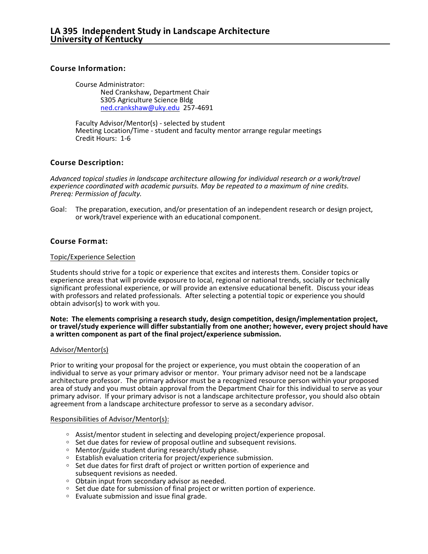# **Course Information:**

Course Administrator: Ned Crankshaw, Department Chair S305 Agriculture Science Bldg [ned.crankshaw@uky.edu](mailto:ned.crankshaw@uky.edu) 257-4691

Faculty Advisor/Mentor(s) - selected by student Meeting Location/Time - student and faculty mentor arrange regular meetings Credit Hours: 1-6

# **Course Description:**

*Advanced topical studies in landscape architecture allowing for individual research or a work/travel experience coordinated with academic pursuits. May be repeated to a maximum of nine credits. Prereq: Permission of faculty.*

Goal: The preparation, execution, and/or presentation of an independent research or design project, or work/travel experience with an educational component.

# **Course Format:**

## Topic/Experience Selection

Students should strive for a topic or experience that excites and interests them. Consider topics or experience areas that will provide exposure to local, regional or national trends, socially or technically significant professional experience, or will provide an extensive educational benefit. Discuss your ideas with professors and related professionals. After selecting a potential topic or experience you should obtain advisor(s) to work with you.

#### **Note: The elements comprising a research study, design competition, design/implementation project, or travel/study experience will differ substantially from one another; however, every project should have a written component as part of the final project/experience submission.**

## Advisor/Mentor(s)

Prior to writing your proposal for the project or experience, you must obtain the cooperation of an individual to serve as your primary advisor or mentor. Your primary advisor need not be a landscape architecture professor. The primary advisor must be a recognized resource person within your proposed area of study and you must obtain approval from the Department Chair for this individual to serve as your primary advisor. If your primary advisor is not a landscape architecture professor, you should also obtain agreement from a landscape architecture professor to serve as a secondary advisor.

## Responsibilities of Advisor/Mentor(s):

- $\circ$  Assist/mentor student in selecting and developing project/experience proposal.
- $\circ$  Set due dates for review of proposal outline and subsequent revisions.
- $\circ$  Mentor/guide student during research/study phase.
- o Establish evaluation criteria for project/experience submission.
- <sup>o</sup> Set due dates for first draft of project or written portion of experience and subsequent revisions as needed.
- $\circ$  Obtain input from secondary advisor as needed.
- <sup>o</sup> Set due date for submission of final project or written portion of experience.
- $\circ$  Evaluate submission and issue final grade.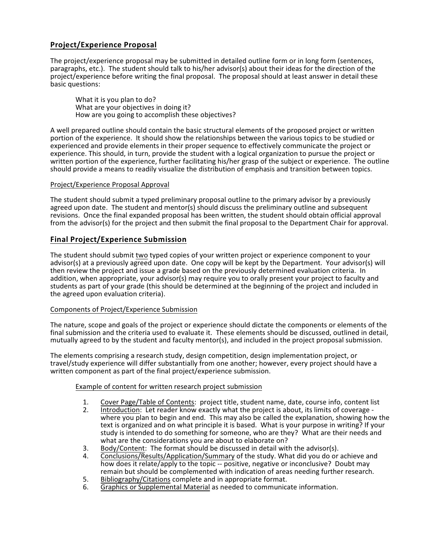# **Project/Experience Proposal**

The project/experience proposal may be submitted in detailed outline form or in long form (sentences, paragraphs, etc.). The student should talk to his/her advisor(s) about their ideas for the direction of the project/experience before writing the final proposal. The proposal should at least answer in detail these basic questions:

What it is you plan to do? What are your objectives in doing it? How are you going to accomplish these objectives?

A well prepared outline should contain the basic structural elements of the proposed project or written portion of the experience. It should show the relationships between the various topics to be studied or experienced and provide elements in their proper sequence to effectively communicate the project or experience. This should, in turn, provide the student with a logical organization to pursue the project or written portion of the experience, further facilitating his/her grasp of the subject or experience. The outline should provide a means to readily visualize the distribution of emphasis and transition between topics.

## Project/Experience Proposal Approval

The student should submit a typed preliminary proposal outline to the primary advisor by a previously agreed upon date. The student and mentor(s) should discuss the preliminary outline and subsequent revisions. Once the final expanded proposal has been written, the student should obtain official approval from the advisor(s) for the project and then submit the final proposal to the Department Chair for approval.

# **Final Project/Experience Submission**

The student should submit two typed copies of your written project or experience component to your advisor(s) at a previously agreed upon date. One copy will be kept by the Department. Your advisor(s) will then review the project and issue a grade based on the previously determined evaluation criteria. In addition, when appropriate, your advisor(s) may require you to orally present your project to faculty and students as part of your grade (this should be determined at the beginning of the project and included in the agreed upon evaluation criteria).

## Components of Project/Experience Submission

The nature, scope and goals of the project or experience should dictate the components or elements of the final submission and the criteria used to evaluate it. These elements should be discussed, outlined in detail, mutually agreed to by the student and faculty mentor(s), and included in the project proposal submission.

The elements comprising a research study, design competition, design implementation project, or travel/study experience will differ substantially from one another; however, every project should have a written component as part of the final project/experience submission.

## Example of content for written research project submission

- 1. Cover Page/Table of Contents: project title, student name, date, course info, content list<br>2. Introduction: Let reader know exactly what the project is about, its limits of coverage -
- 2. Introduction: Let reader know exactly what the project is about, its limits of coverage where you plan to begin and end. This may also be called the explanation, showing how the text is organized and on what principle it is based. What is your purpose in writing? If your study is intended to do something for someone, who are they? What are their needs and what are the considerations you are about to elaborate on?
- 3. Body/Content: The format should be discussed in detail with the advisor(s).<br>4. Conclusions/Results/Application/Summary of the study. What did you do or
- 4. Conclusions/Results/Application/Summary of the study. What did you do or achieve and how does it relate/apply to the topic -- positive, negative or inconclusive? Doubt may remain but should be complemented with indication of areas needing further research.
- 5. Bibliography/Citations complete and in appropriate format.
- 6. Graphics or Supplemental Material as needed to communicate information.